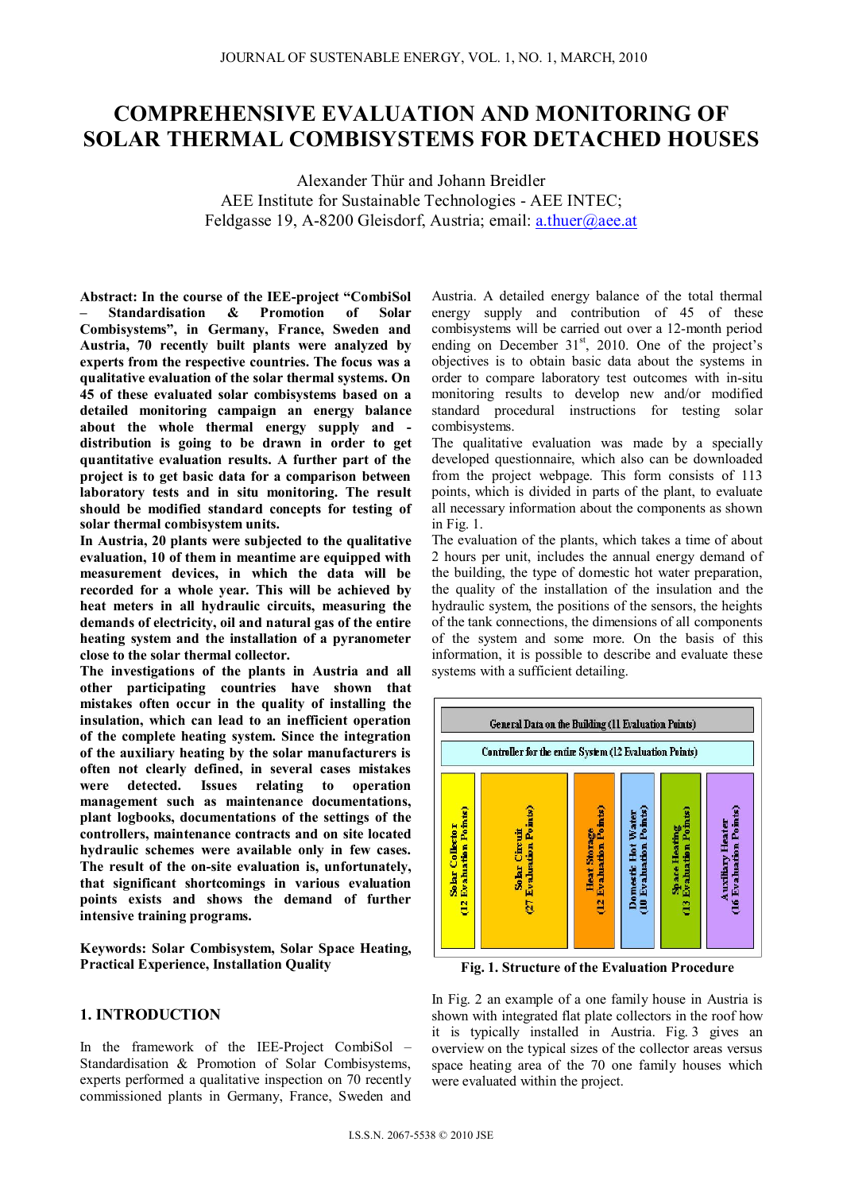# **COMPREHENSIVE EVALUATION AND MONITORING OF SOLAR THERMAL COMBISYSTEMS FOR DETACHED HOUSES**

Alexander Thür and Johann Breidler AEE Institute for Sustainable Technologies - AEE INTEC; Feldgasse 19, A-8200 Gleisdorf, Austria; email: a.thuer@aee.at

**Abstract: In the course of the IEE-project "CombiSol – Standardisation & Promotion of Solar Combisystems", in Germany, France, Sweden and Austria, 70 recently built plants were analyzed by experts from the respective countries. The focus was a qualitative evaluation of the solar thermal systems. On 45 of these evaluated solar combisystems based on a detailed monitoring campaign an energy balance about the whole thermal energy supply and distribution is going to be drawn in order to get quantitative evaluation results. A further part of the project is to get basic data for a comparison between laboratory tests and in situ monitoring. The result should be modified standard concepts for testing of solar thermal combisystem units.** 

**In Austria, 20 plants were subjected to the qualitative evaluation, 10 of them in meantime are equipped with measurement devices, in which the data will be recorded for a whole year. This will be achieved by heat meters in all hydraulic circuits, measuring the demands of electricity, oil and natural gas of the entire heating system and the installation of a pyranometer close to the solar thermal collector.** 

**The investigations of the plants in Austria and all other participating countries have shown that mistakes often occur in the quality of installing the insulation, which can lead to an inefficient operation of the complete heating system. Since the integration of the auxiliary heating by the solar manufacturers is often not clearly defined, in several cases mistakes were detected. Issues relating to operation management such as maintenance documentations, plant logbooks, documentations of the settings of the controllers, maintenance contracts and on site located hydraulic schemes were available only in few cases. The result of the on-site evaluation is, unfortunately, that significant shortcomings in various evaluation points exists and shows the demand of further intensive training programs.** 

**Keywords: Solar Combisystem, Solar Space Heating, Practical Experience, Installation Quality** 

## **1. INTRODUCTION**

In the framework of the IEE-Project CombiSol – Standardisation & Promotion of Solar Combisystems, experts performed a qualitative inspection on 70 recently commissioned plants in Germany, France, Sweden and Austria. A detailed energy balance of the total thermal energy supply and contribution of 45 of these combisystems will be carried out over a 12-month period ending on December  $31<sup>st</sup>$ , 2010. One of the project's objectives is to obtain basic data about the systems in order to compare laboratory test outcomes with in-situ monitoring results to develop new and/or modified standard procedural instructions for testing solar combisystems.

The qualitative evaluation was made by a specially developed questionnaire, which also can be downloaded from the project webpage. This form consists of 113 points, which is divided in parts of the plant, to evaluate all necessary information about the components as shown in Fig. 1.

The evaluation of the plants, which takes a time of about 2 hours per unit, includes the annual energy demand of the building, the type of domestic hot water preparation, the quality of the installation of the insulation and the hydraulic system, the positions of the sensors, the heights of the tank connections, the dimensions of all components of the system and some more. On the basis of this information, it is possible to describe and evaluate these systems with a sufficient detailing.



**Fig. 1. Structure of the Evaluation Procedure** 

In Fig. 2 an example of a one family house in Austria is shown with integrated flat plate collectors in the roof how it is typically installed in Austria. Fig. 3 gives an overview on the typical sizes of the collector areas versus space heating area of the 70 one family houses which were evaluated within the project.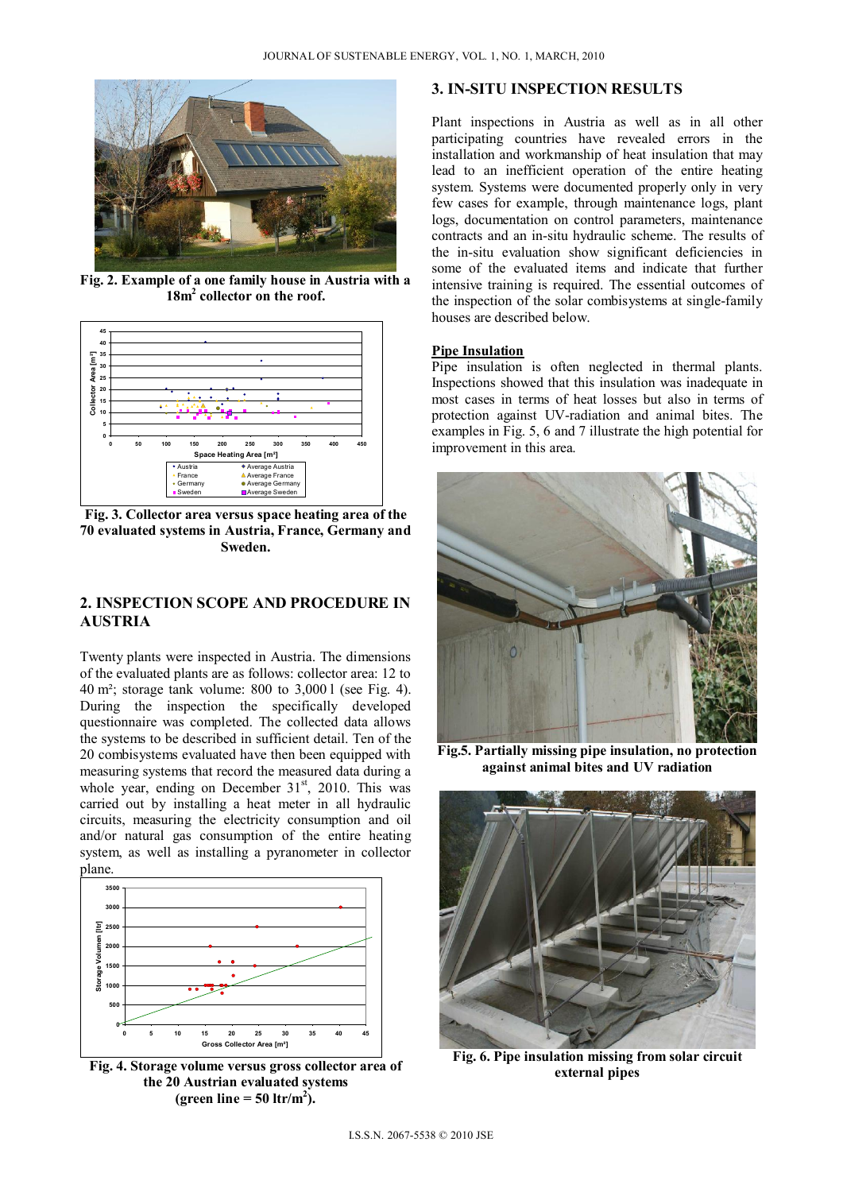

**Fig. 2. Example of a one family house in Austria with a 18m2 collector on the roof.** 



**Fig. 3. Collector area versus space heating area of the 70 evaluated systems in Austria, France, Germany and Sweden.** 

# **2. INSPECTION SCOPE AND PROCEDURE IN AUSTRIA**

Twenty plants were inspected in Austria. The dimensions of the evaluated plants are as follows: collector area: 12 to 40 m²; storage tank volume: 800 to 3,000 l (see Fig. 4). During the inspection the specifically developed questionnaire was completed. The collected data allows the systems to be described in sufficient detail. Ten of the 20 combisystems evaluated have then been equipped with measuring systems that record the measured data during a whole year, ending on December 31<sup>st</sup>, 2010. This was carried out by installing a heat meter in all hydraulic circuits, measuring the electricity consumption and oil and/or natural gas consumption of the entire heating system, as well as installing a pyranometer in collector plane.



**Fig. 4. Storage volume versus gross collector area of the 20 Austrian evaluated systems**  (green line  $= 50$  ltr/m<sup>2</sup>).

## **3. IN-SITU INSPECTION RESULTS**

Plant inspections in Austria as well as in all other participating countries have revealed errors in the installation and workmanship of heat insulation that may lead to an inefficient operation of the entire heating system. Systems were documented properly only in very few cases for example, through maintenance logs, plant logs, documentation on control parameters, maintenance contracts and an in-situ hydraulic scheme. The results of the in-situ evaluation show significant deficiencies in some of the evaluated items and indicate that further intensive training is required. The essential outcomes of the inspection of the solar combisystems at single-family houses are described below.

#### **Pipe Insulation**

Pipe insulation is often neglected in thermal plants. Inspections showed that this insulation was inadequate in most cases in terms of heat losses but also in terms of protection against UV-radiation and animal bites. The examples in Fig. 5, 6 and 7 illustrate the high potential for improvement in this area.



**Fig.5. Partially missing pipe insulation, no protection against animal bites and UV radiation** 



**Fig. 6. Pipe insulation missing from solar circuit external pipes**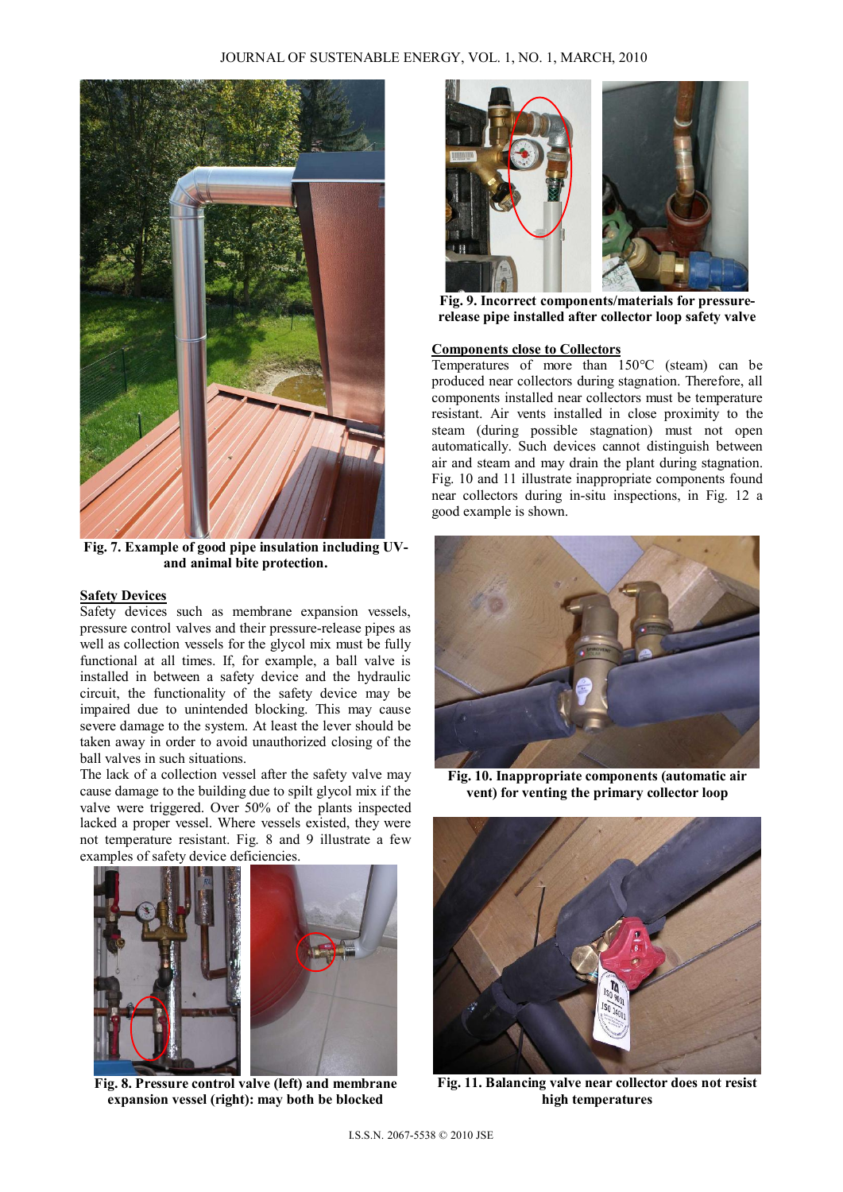

**Fig. 7. Example of good pipe insulation including UVand animal bite protection.** 

# **Safety Devices**

Safety devices such as membrane expansion vessels, pressure control valves and their pressure-release pipes as well as collection vessels for the glycol mix must be fully functional at all times. If, for example, a ball valve is installed in between a safety device and the hydraulic circuit, the functionality of the safety device may be impaired due to unintended blocking. This may cause severe damage to the system. At least the lever should be taken away in order to avoid unauthorized closing of the ball valves in such situations.

The lack of a collection vessel after the safety valve may cause damage to the building due to spilt glycol mix if the valve were triggered. Over 50% of the plants inspected lacked a proper vessel. Where vessels existed, they were not temperature resistant. Fig. 8 and 9 illustrate a few examples of safety device deficiencies.



 **Fig. 8. Pressure control valve (left) and membrane expansion vessel (right): may both be blocked** 



 **Fig. 9. Incorrect components/materials for pressurerelease pipe installed after collector loop safety valve** 

## **Components close to Collectors**

Temperatures of more than 150°C (steam) can be produced near collectors during stagnation. Therefore, all components installed near collectors must be temperature resistant. Air vents installed in close proximity to the steam (during possible stagnation) must not open automatically. Such devices cannot distinguish between air and steam and may drain the plant during stagnation. Fig. 10 and 11 illustrate inappropriate components found near collectors during in-situ inspections, in Fig. 12 a good example is shown.



**Fig. 10. Inappropriate components (automatic air vent) for venting the primary collector loop** 



**Fig. 11. Balancing valve near collector does not resist high temperatures**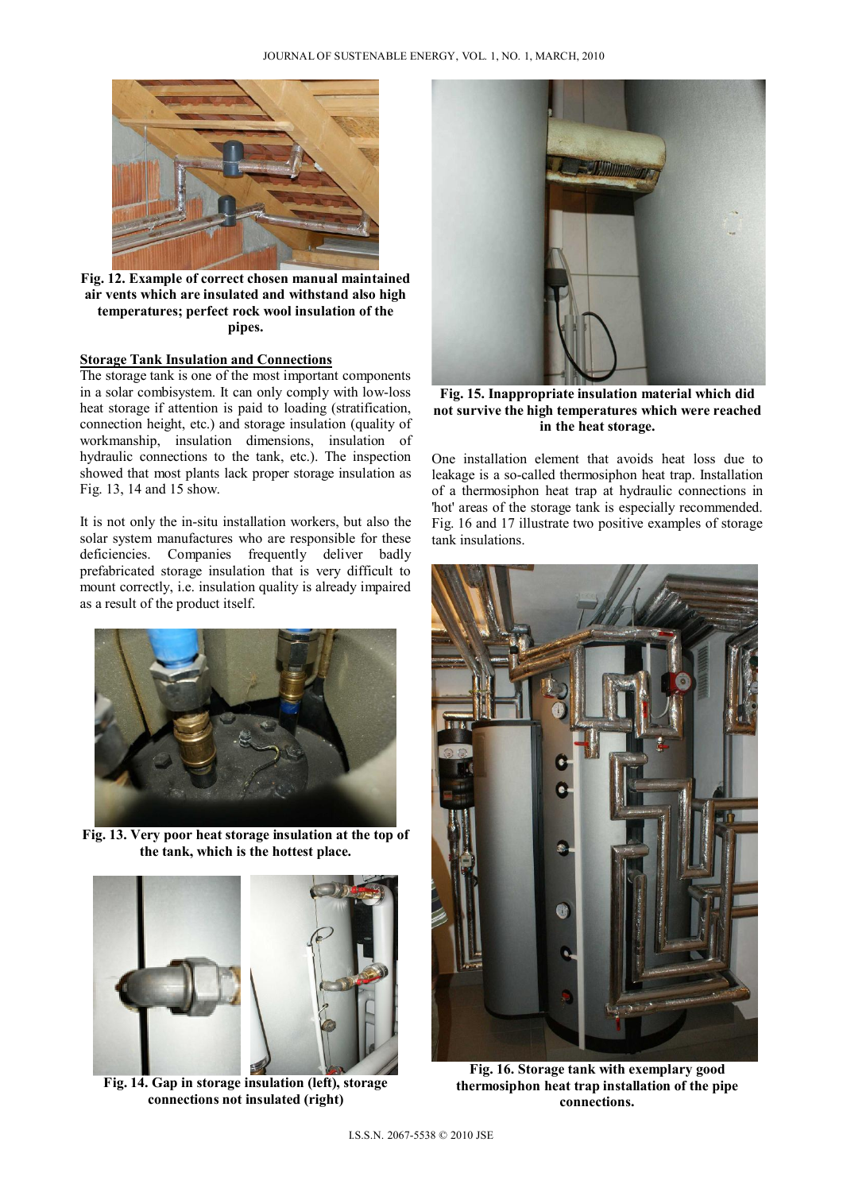

**Fig. 12. Example of correct chosen manual maintained air vents which are insulated and withstand also high temperatures; perfect rock wool insulation of the pipes.** 

#### **Storage Tank Insulation and Connections**

The storage tank is one of the most important components in a solar combisystem. It can only comply with low-loss heat storage if attention is paid to loading (stratification, connection height, etc.) and storage insulation (quality of workmanship, insulation dimensions, insulation of hydraulic connections to the tank, etc.). The inspection showed that most plants lack proper storage insulation as Fig. 13, 14 and 15 show.

It is not only the in-situ installation workers, but also the solar system manufactures who are responsible for these deficiencies. Companies frequently deliver badly prefabricated storage insulation that is very difficult to mount correctly, i.e. insulation quality is already impaired as a result of the product itself.



**Fig. 13. Very poor heat storage insulation at the top of the tank, which is the hottest place.** 



 **Fig. 14. Gap in storage insulation (left), storage connections not insulated (right)** 



**Fig. 15. Inappropriate insulation material which did not survive the high temperatures which were reached in the heat storage.** 

One installation element that avoids heat loss due to leakage is a so-called thermosiphon heat trap. Installation of a thermosiphon heat trap at hydraulic connections in 'hot' areas of the storage tank is especially recommended. Fig. 16 and 17 illustrate two positive examples of storage tank insulations.



 **Fig. 16. Storage tank with exemplary good thermosiphon heat trap installation of the pipe connections.**